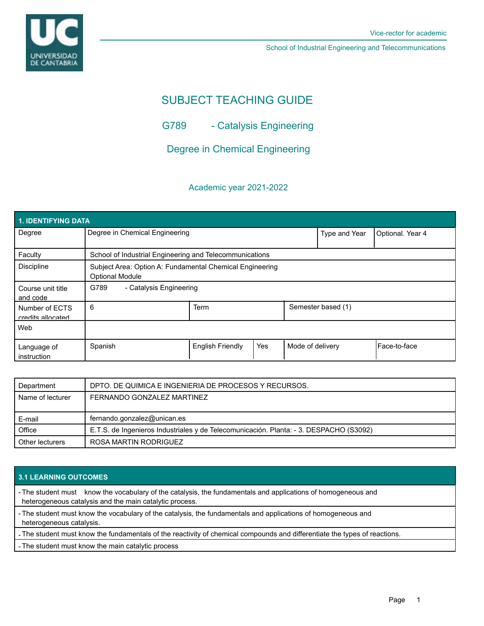

School of Industrial Engineering and Telecommunications

# SUBJECT TEACHING GUIDE

G789 - Catalysis Engineering

Degree in Chemical Engineering

## Academic year 2021-2022

| <b>1. IDENTIFYING DATA</b>          |                                                                                    |                         |     |                    |               |                  |  |  |  |
|-------------------------------------|------------------------------------------------------------------------------------|-------------------------|-----|--------------------|---------------|------------------|--|--|--|
| Degree                              | Degree in Chemical Engineering                                                     |                         |     |                    | Type and Year | Optional. Year 4 |  |  |  |
| Faculty                             | School of Industrial Engineering and Telecommunications                            |                         |     |                    |               |                  |  |  |  |
| <b>Discipline</b>                   | Subject Area: Option A: Fundamental Chemical Engineering<br><b>Optional Module</b> |                         |     |                    |               |                  |  |  |  |
| Course unit title<br>and code       | G789<br>- Catalysis Engineering                                                    |                         |     |                    |               |                  |  |  |  |
| Number of ECTS<br>credits allocated | 6                                                                                  | Term                    |     | Semester based (1) |               |                  |  |  |  |
| Web                                 |                                                                                    |                         |     |                    |               |                  |  |  |  |
| Language of<br>instruction          | Spanish                                                                            | <b>English Friendly</b> | Yes | Mode of delivery   |               | l Face-to-face   |  |  |  |

| Department       | DPTO. DE QUIMICA E INGENIERIA DE PROCESOS Y RECURSOS.                                  |  |  |
|------------------|----------------------------------------------------------------------------------------|--|--|
| Name of lecturer | FERNANDO GONZALEZ MARTINEZ                                                             |  |  |
|                  |                                                                                        |  |  |
| E-mail           | fernando.gonzalez@unican.es                                                            |  |  |
| Office           | E.T.S. de Ingenieros Industriales y de Telecomunicación. Planta: - 3. DESPACHO (S3092) |  |  |
| Other lecturers  |                                                                                        |  |  |

## **3.1 LEARNING OUTCOMES**

- The student must know the vocabulary of the catalysis, the fundamentals and applications of homogeneous and heterogeneous catalysis and the main catalytic process.

- The student must know the vocabulary of the catalysis, the fundamentals and applications of homogeneous and heterogeneous catalysis.

- The student must know the fundamentals of the reactivity of chemical compounds and differentiate the types of reactions.

- The student must know the main catalytic process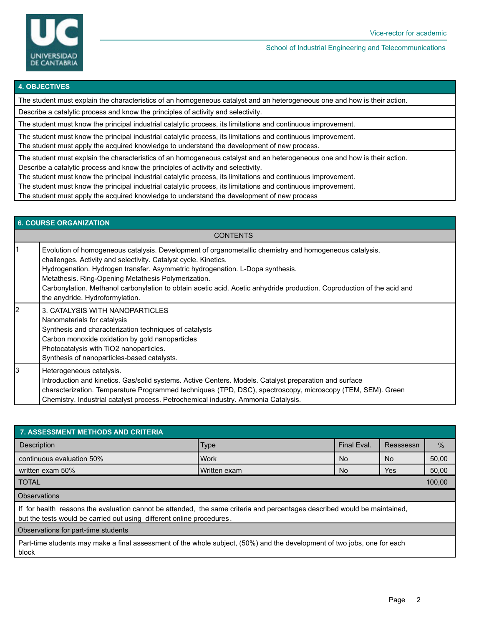

#### School of Industrial Engineering and Telecommunications

#### **4. OBJECTIVES**

The student must explain the characteristics of an homogeneous catalyst and an heterogeneous one and how is their action.

Describe a catalytic process and know the principles of activity and selectivity.

The student must know the principal industrial catalytic process, its limitations and continuous improvement.

The student must know the principal industrial catalytic process, its limitations and continuous improvement.

The student must apply the acquired knowledge to understand the development of new process.

The student must explain the characteristics of an homogeneous catalyst and an heterogeneous one and how is their action.

Describe a catalytic process and know the principles of activity and selectivity.

The student must know the principal industrial catalytic process, its limitations and continuous improvement.

The student must know the principal industrial catalytic process, its limitations and continuous improvement.

The student must apply the acquired knowledge to understand the development of new process

| <b>6. COURSE ORGANIZATION</b> |                                                                                                                                                                                                                                                                                                                                                                                                                                                                                |  |  |  |  |
|-------------------------------|--------------------------------------------------------------------------------------------------------------------------------------------------------------------------------------------------------------------------------------------------------------------------------------------------------------------------------------------------------------------------------------------------------------------------------------------------------------------------------|--|--|--|--|
| <b>CONTENTS</b>               |                                                                                                                                                                                                                                                                                                                                                                                                                                                                                |  |  |  |  |
|                               | Evolution of homogeneous catalysis. Development of organometallic chemistry and homogeneous catalysis,<br>challenges. Activity and selectivity. Catalyst cycle. Kinetics.<br>Hydrogenation. Hydrogen transfer. Asymmetric hydrogenation. L-Dopa synthesis.<br>Metathesis. Ring-Opening Metathesis Polymerization.<br>Carbonylation. Methanol carbonylation to obtain acetic acid. Acetic anhydride production. Coproduction of the acid and<br>the anydride. Hydroformylation. |  |  |  |  |
| l2                            | 3. CATALYSIS WITH NANOPARTICLES<br>Nanomaterials for catalysis<br>Synthesis and characterization techniques of catalysts<br>Carbon monoxide oxidation by gold nanoparticles<br>Photocatalysis with TiO2 nanoparticles.<br>Synthesis of nanoparticles-based catalysts.                                                                                                                                                                                                          |  |  |  |  |
| l3                            | Heterogeneous catalysis.<br>Introduction and kinetics. Gas/solid systems. Active Centers. Models. Catalyst preparation and surface<br>characterization. Temperature Programmed techniques (TPD, DSC), spectroscopy, microscopy (TEM, SEM). Green<br>Chemistry. Industrial catalyst process. Petrochemical industry. Ammonia Catalysis.                                                                                                                                         |  |  |  |  |

| 7. ASSESSMENT METHODS AND CRITERIA                                                                                                                                                                 |              |             |           |               |  |  |  |  |
|----------------------------------------------------------------------------------------------------------------------------------------------------------------------------------------------------|--------------|-------------|-----------|---------------|--|--|--|--|
| Description                                                                                                                                                                                        | <b>Type</b>  | Final Eval. | Reassessn | $\frac{0}{0}$ |  |  |  |  |
| continuous evaluation 50%                                                                                                                                                                          | Work         | <b>No</b>   | No.       | 50,00         |  |  |  |  |
| written exam 50%                                                                                                                                                                                   | Written exam | No.         | Yes       | 50,00         |  |  |  |  |
| <b>TOTAL</b>                                                                                                                                                                                       |              |             |           |               |  |  |  |  |
| <b>Observations</b>                                                                                                                                                                                |              |             |           |               |  |  |  |  |
| If for health reasons the evaluation cannot be attended, the same criteria and percentages described would be maintained,<br>but the tests would be carried out using different online procedures. |              |             |           |               |  |  |  |  |
| Observations for part-time students                                                                                                                                                                |              |             |           |               |  |  |  |  |
| Part-time students may make a final assessment of the whole subject, (50%) and the development of two jobs, one for each<br>block                                                                  |              |             |           |               |  |  |  |  |